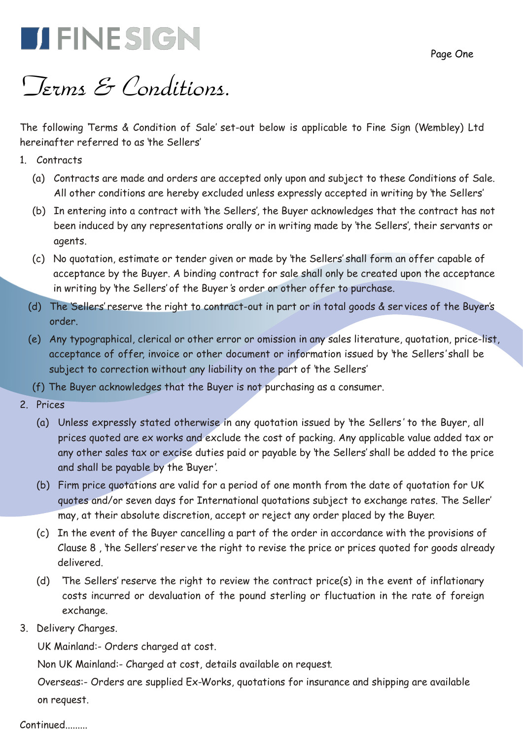Page One



# *Terms & Conditions.*

The following 'Terms & Condition of Sale' set-out below is applicable to Fine Sign (Wembley) Ltd hereinafter referred to as 'the Sellers'

- 1. Contracts
	- (a) Contracts are made and orders are accepted only upon and subject to these Conditions of Sale. All other conditions are hereby excluded unless expressly accepted in writing by 'the Sellers'
	- (b) In entering into a contract with 'the Sellers', the Buyer acknowledges that the contract has not been induced by any representations orally or in writing made by 'the Sellers', their servants or agents.
	- (c) No quotation, estimate or tender given or made by 'the Sellers' shall form an offer capable of acceptance by the Buyer. A binding contract for sale shall only be created upon the acceptance in writing by 'the Sellers' of the Buyer 's order or other offer to purchase.
	- (d) The 'Sellers' reserve the right to contract-out in part or in total goods & ser vices of the Buyer's order.
	- (e) Any typographical, clerical or other error or omission in any sales literature, quotation, price-list, acceptance of offer, invoice or other document or information issued by 'the Sellers' shall be subject to correction without any liability on the part of 'the Sellers'
	- (f) The Buyer acknowledges that the Buyer is not purchasing as a consumer.
- 2. Prices
	- (a) Unless expressly stated otherwise in any quotation issued by 'the Sellers ' to the Buyer, all prices quoted are ex works and exclude the cost of packing. Any applicable value added tax or any other sales tax or excise duties paid or payable by 'the Sellers' shall be added to the price and shall be payable by the 'Buyer'.
	- (b) Firm price quotations are valid for a period of one month from the date of quotation for UK quotes and/or seven days for International quotations subject to exchange rates. The Seller' may, at their absolute discretion, accept or reject any order placed by the Buyer.
	- (c) In the event of the Buyer cancelling a part of the order in accordance with the provisions of Clause 8 , 'the Sellers' reser ve the right to revise the price or prices quoted for goods already delivered.
	- (d) 'The Sellers' reserve the right to review the contract price(s) in the event of inflationary costs incurred or devaluation of the pound sterling or fluctuation in the rate of foreign exchange.
- 3. Delivery Charges.

UK Mainland:- Orders charged at cost.

Non UK Mainland:- Charged at cost, details available on request.

 Overseas:- Orders are supplied Ex-Works, quotations for insurance and shipping are available on request.

### Continued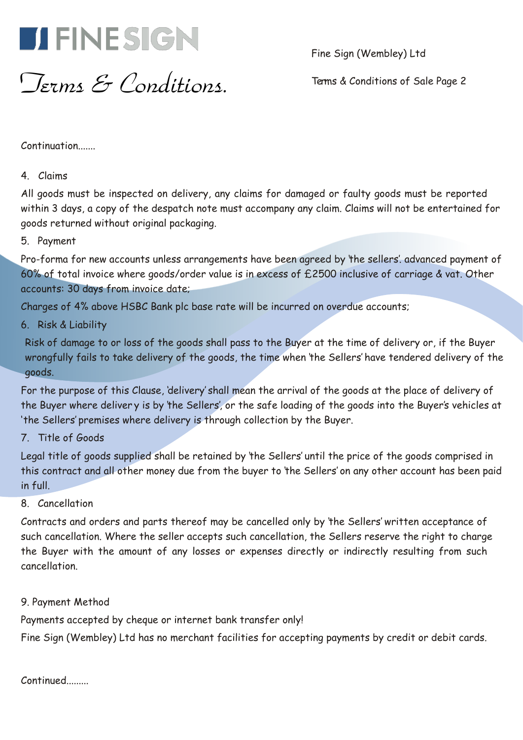

Fine Sign (Wembley) Ltd

*Terms & Conditions.*

Terms & Conditions of Sale Page 2

Continuation......

## 4. Claims

All goods must be inspected on delivery, any claims for damaged or faulty goods must be reported within 3 days, a copy of the despatch note must accompany any claim. Claims will not be entertained for goods returned without original packaging.

5. Payment

Pro-forma for new accounts unless arrangements have been agreed by 'the sellers'. advanced payment of 60% of total invoice where goods/order value is in excess of £2500 inclusive of carriage & vat. Other accounts: 30 days from invoice date;

Charges of 4% above HSBC Bank plc base rate will be incurred on overdue accounts;

6. Risk & Liability

Risk of damage to or loss of the goods shall pass to the Buyer at the time of delivery or, if the Buyer wrongfully fails to take delivery of the goods, the time when 'the Sellers' have tendered delivery of the goods.

For the purpose of this Clause, 'delivery' shall mean the arrival of the goods at the place of delivery of the Buyer where deliver y is by 'the Sellers', or the safe loading of the goods into the Buyer's vehicles at 'the Sellers' premises where delivery is through collection by the Buyer.

## 7. Title of Goods

Legal title of goods supplied shall be retained by 'the Sellers' until the price of the goods comprised in this contract and all other money due from the buyer to 'the Sellers' on any other account has been paid in full.

## 8. Cancellation

Contracts and orders and parts thereof may be cancelled only by 'the Sellers' written acceptance of such cancellation. Where the seller accepts such cancellation, the Sellers reserve the right to charge the Buyer with the amount of any losses or expenses directly or indirectly resulting from such cancellation.

## 9. Payment Method

Payments accepted by cheque or internet bank transfer only!

Fine Sign (Wembley) Ltd has no merchant facilities for accepting payments by credit or debit cards.

Continued.........